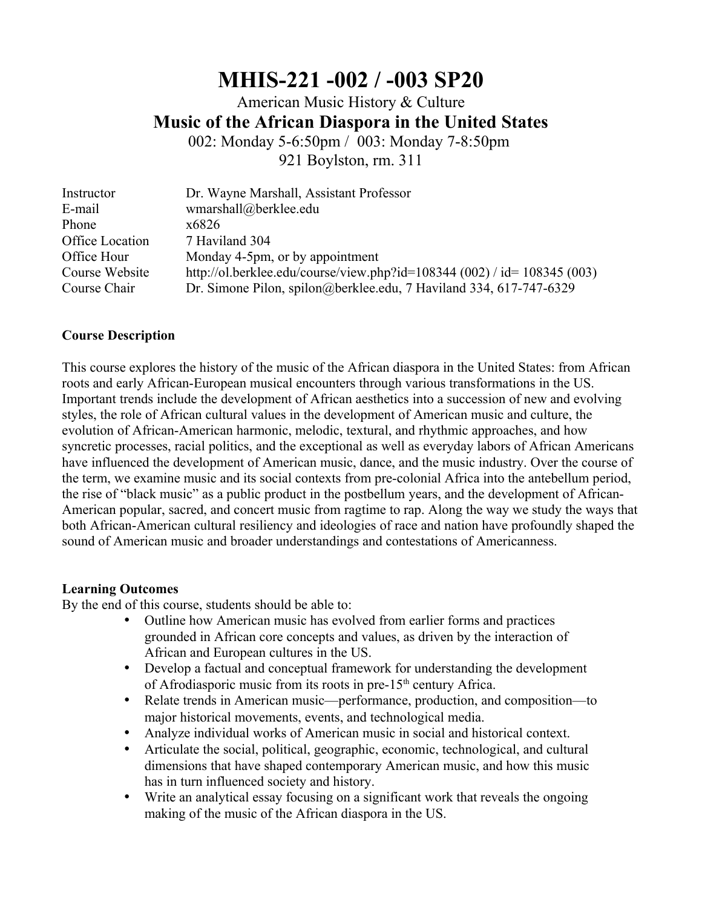# **MHIS-221 -002 / -003 SP20**

American Music History & Culture **Music of the African Diaspora in the United States**

002: Monday 5-6:50pm / 003: Monday 7-8:50pm 921 Boylston, rm. 311

| Instructor      | Dr. Wayne Marshall, Assistant Professor                                  |
|-----------------|--------------------------------------------------------------------------|
| E-mail          | wmarshall@berklee.edu                                                    |
| Phone           | x6826                                                                    |
| Office Location | 7 Haviland 304                                                           |
| Office Hour     | Monday 4-5pm, or by appointment                                          |
| Course Website  | http://ol.berklee.edu/course/view.php?id=108344 (002) / id= 108345 (003) |
| Course Chair    | Dr. Simone Pilon, spilon@berklee.edu, 7 Haviland 334, 617-747-6329       |

## **Course Description**

This course explores the history of the music of the African diaspora in the United States: from African roots and early African-European musical encounters through various transformations in the US. Important trends include the development of African aesthetics into a succession of new and evolving styles, the role of African cultural values in the development of American music and culture, the evolution of African-American harmonic, melodic, textural, and rhythmic approaches, and how syncretic processes, racial politics, and the exceptional as well as everyday labors of African Americans have influenced the development of American music, dance, and the music industry. Over the course of the term, we examine music and its social contexts from pre-colonial Africa into the antebellum period, the rise of "black music" as a public product in the postbellum years, and the development of African-American popular, sacred, and concert music from ragtime to rap. Along the way we study the ways that both African-American cultural resiliency and ideologies of race and nation have profoundly shaped the sound of American music and broader understandings and contestations of Americanness.

#### **Learning Outcomes**

By the end of this course, students should be able to:

- Outline how American music has evolved from earlier forms and practices grounded in African core concepts and values, as driven by the interaction of African and European cultures in the US.
- Develop a factual and conceptual framework for understanding the development of Afrodiasporic music from its roots in pre- $15<sup>th</sup>$  century Africa.
- Relate trends in American music—performance, production, and composition—to major historical movements, events, and technological media.
- Analyze individual works of American music in social and historical context.
- Articulate the social, political, geographic, economic, technological, and cultural dimensions that have shaped contemporary American music, and how this music has in turn influenced society and history.
- Write an analytical essay focusing on a significant work that reveals the ongoing making of the music of the African diaspora in the US.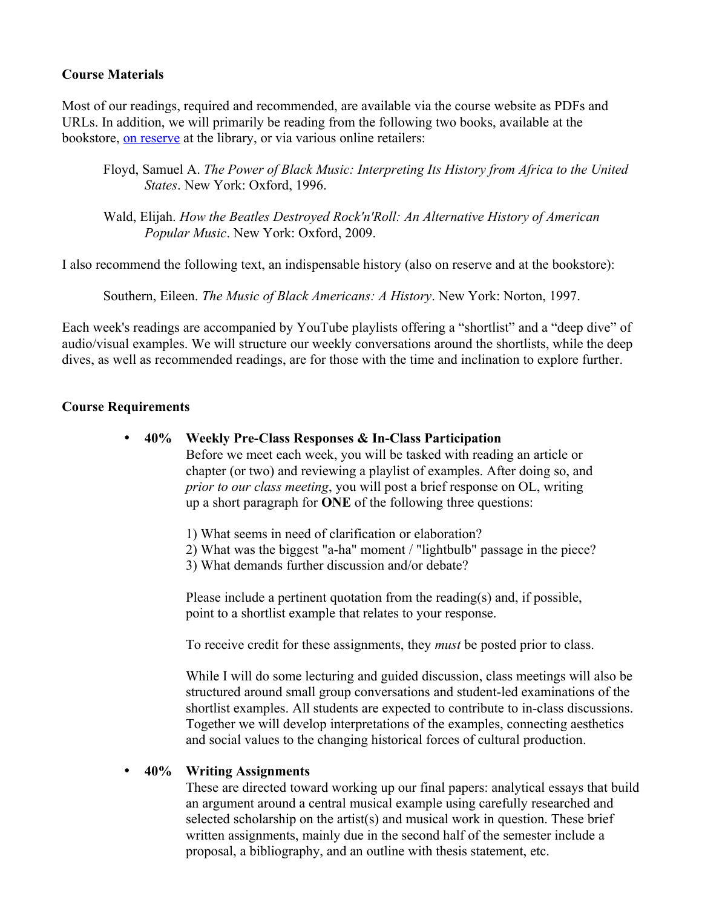## **Course Materials**

Most of our readings, required and recommended, are available via the course website as PDFs and URLs. In addition, we will primarily be reading from the following two books, available at the bookstore, [on reserve](https://lrweb.berklee.edu/resources/reserves/classItemPrintPreview/item_type/Books/class_id/1128) at the library, or via various online retailers:

- Floyd, Samuel A. *The Power of Black Music: Interpreting Its History from Africa to the United States*. New York: Oxford, 1996.
- Wald, Elijah. *How the Beatles Destroyed Rock'n'Roll: An Alternative History of American Popular Music*. New York: Oxford, 2009.

I also recommend the following text, an indispensable history (also on reserve and at the bookstore):

Southern, Eileen. *The Music of Black Americans: A History*. New York: Norton, 1997.

Each week's readings are accompanied by YouTube playlists offering a "shortlist" and a "deep dive" of audio/visual examples. We will structure our weekly conversations around the shortlists, while the deep dives, as well as recommended readings, are for those with the time and inclination to explore further.

# **Course Requirements**

- **40% Weekly Pre-Class Responses & In-Class Participation**
	- Before we meet each week, you will be tasked with reading an article or chapter (or two) and reviewing a playlist of examples. After doing so, and *prior to our class meeting*, you will post a brief response on OL, writing up a short paragraph for **ONE** of the following three questions:
	- 1) What seems in need of clarification or elaboration?
	- 2) What was the biggest "a-ha" moment / "lightbulb" passage in the piece?
	- 3) What demands further discussion and/or debate?

Please include a pertinent quotation from the reading(s) and, if possible, point to a shortlist example that relates to your response.

To receive credit for these assignments, they *must* be posted prior to class.

While I will do some lecturing and guided discussion, class meetings will also be structured around small group conversations and student-led examinations of the shortlist examples. All students are expected to contribute to in-class discussions. Together we will develop interpretations of the examples, connecting aesthetics and social values to the changing historical forces of cultural production.

## **40% Writing Assignments**

These are directed toward working up our final papers: analytical essays that build an argument around a central musical example using carefully researched and selected scholarship on the artist(s) and musical work in question. These brief written assignments, mainly due in the second half of the semester include a proposal, a bibliography, and an outline with thesis statement, etc.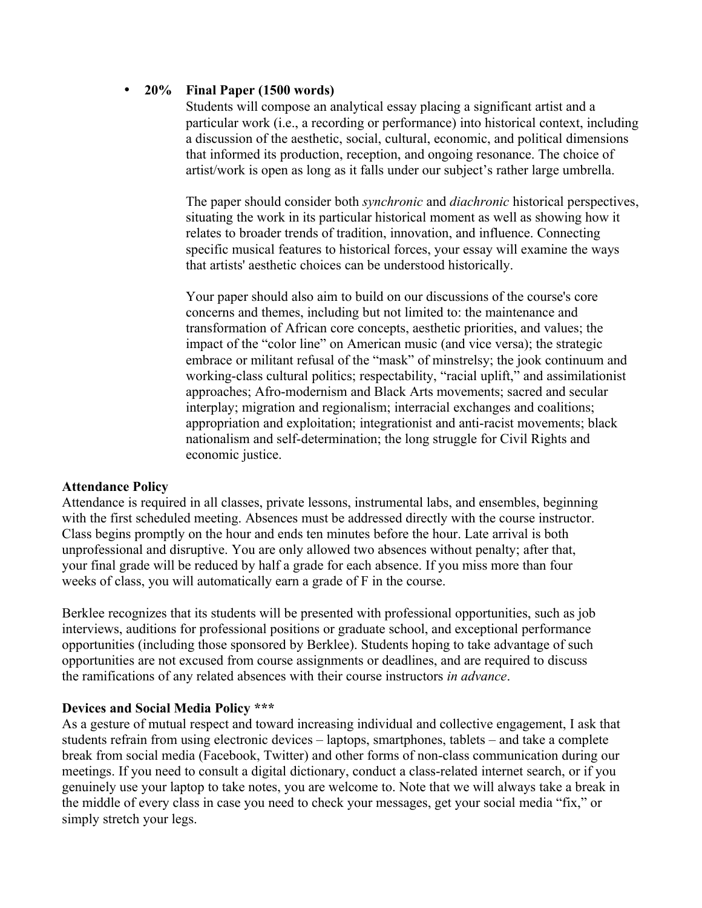# **20% Final Paper (1500 words)**

Students will compose an analytical essay placing a significant artist and a particular work (i.e., a recording or performance) into historical context, including a discussion of the aesthetic, social, cultural, economic, and political dimensions that informed its production, reception, and ongoing resonance. The choice of artist/work is open as long as it falls under our subject's rather large umbrella.

The paper should consider both *synchronic* and *diachronic* historical perspectives, situating the work in its particular historical moment as well as showing how it relates to broader trends of tradition, innovation, and influence. Connecting specific musical features to historical forces, your essay will examine the ways that artists' aesthetic choices can be understood historically.

Your paper should also aim to build on our discussions of the course's core concerns and themes, including but not limited to: the maintenance and transformation of African core concepts, aesthetic priorities, and values; the impact of the "color line" on American music (and vice versa); the strategic embrace or militant refusal of the "mask" of minstrelsy; the jook continuum and working-class cultural politics; respectability, "racial uplift," and assimilationist approaches; Afro-modernism and Black Arts movements; sacred and secular interplay; migration and regionalism; interracial exchanges and coalitions; appropriation and exploitation; integrationist and anti-racist movements; black nationalism and self-determination; the long struggle for Civil Rights and economic justice.

## **Attendance Policy**

Attendance is required in all classes, private lessons, instrumental labs, and ensembles, beginning with the first scheduled meeting. Absences must be addressed directly with the course instructor. Class begins promptly on the hour and ends ten minutes before the hour. Late arrival is both unprofessional and disruptive. You are only allowed two absences without penalty; after that, your final grade will be reduced by half a grade for each absence. If you miss more than four weeks of class, you will automatically earn a grade of F in the course.

Berklee recognizes that its students will be presented with professional opportunities, such as job interviews, auditions for professional positions or graduate school, and exceptional performance opportunities (including those sponsored by Berklee). Students hoping to take advantage of such opportunities are not excused from course assignments or deadlines, and are required to discuss the ramifications of any related absences with their course instructors *in advance*.

## **Devices and Social Media Policy \*\*\***

As a gesture of mutual respect and toward increasing individual and collective engagement, I ask that students refrain from using electronic devices – laptops, smartphones, tablets – and take a complete break from social media (Facebook, Twitter) and other forms of non-class communication during our meetings. If you need to consult a digital dictionary, conduct a class-related internet search, or if you genuinely use your laptop to take notes, you are welcome to. Note that we will always take a break in the middle of every class in case you need to check your messages, get your social media "fix," or simply stretch your legs.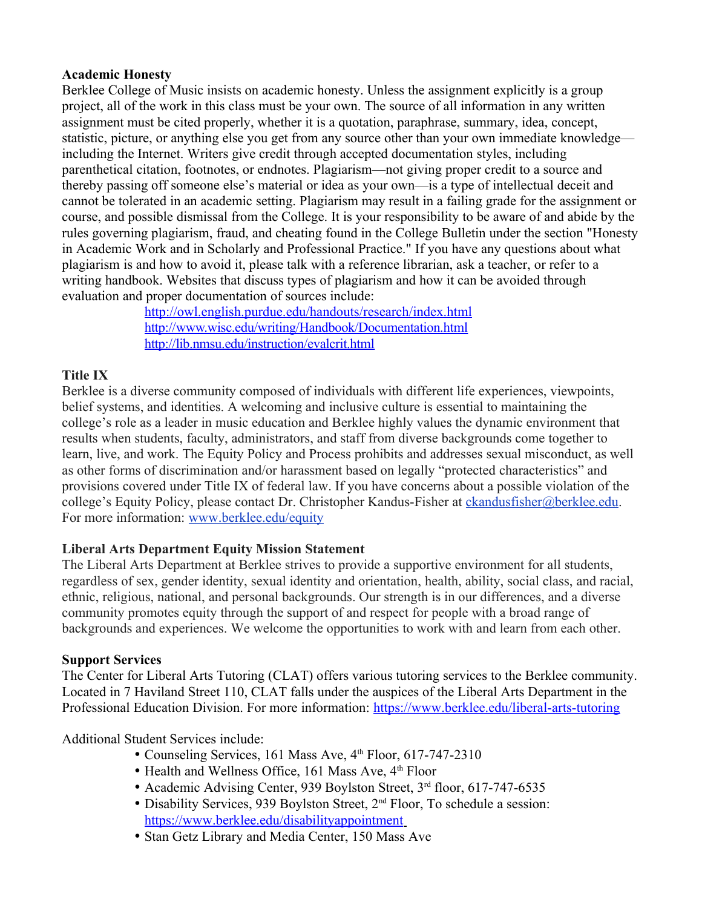# **Academic Honesty**

Berklee College of Music insists on academic honesty. Unless the assignment explicitly is a group project, all of the work in this class must be your own. The source of all information in any written assignment must be cited properly, whether it is a quotation, paraphrase, summary, idea, concept, statistic, picture, or anything else you get from any source other than your own immediate knowledge including the Internet. Writers give credit through accepted documentation styles, including parenthetical citation, footnotes, or endnotes. Plagiarism—not giving proper credit to a source and thereby passing off someone else's material or idea as your own—is a type of intellectual deceit and cannot be tolerated in an academic setting. Plagiarism may result in a failing grade for the assignment or course, and possible dismissal from the College. It is your responsibility to be aware of and abide by the rules governing plagiarism, fraud, and cheating found in the College Bulletin under the section "Honesty in Academic Work and in Scholarly and Professional Practice." If you have any questions about what plagiarism is and how to avoid it, please talk with a reference librarian, ask a teacher, or refer to a writing handbook. Websites that discuss types of plagiarism and how it can be avoided through evaluation and proper documentation of sources include:

<http://owl.english.purdue.edu/handouts/research/index.html> http://www.wisc.edu/writing/Handbook/Documentation.html <http://lib.nmsu.edu/instruction/evalcrit.html>

# **Title IX**

Berklee is a diverse community composed of individuals with different life experiences, viewpoints, belief systems, and identities. A welcoming and inclusive culture is essential to maintaining the college's role as a leader in music education and Berklee highly values the dynamic environment that results when students, faculty, administrators, and staff from diverse backgrounds come together to learn, live, and work. The Equity Policy and Process prohibits and addresses sexual misconduct, as well as other forms of discrimination and/or harassment based on legally "protected characteristics" and provisions covered under Title IX of federal law. If you have concerns about a possible violation of the college's Equity Policy, please contact Dr. Christopher Kandus-Fisher at [ckandusfisher@berklee.edu.](mailto:ckandusfisher@berklee.edu) For more information: [www.berklee.edu/equity](http://www.berklee.edu/equity)

# **Liberal Arts Department Equity Mission Statement**

The Liberal Arts Department at Berklee strives to provide a supportive environment for all students, regardless of sex, gender identity, sexual identity and orientation, health, ability, social class, and racial, ethnic, religious, national, and personal backgrounds. Our strength is in our differences, and a diverse community promotes equity through the support of and respect for people with a broad range of backgrounds and experiences. We welcome the opportunities to work with and learn from each other.

# **Support Services**

The Center for Liberal Arts Tutoring (CLAT) offers various tutoring services to the Berklee community. Located in 7 Haviland Street 110, CLAT falls under the auspices of the Liberal Arts Department in the Professional Education Division. For more information: <https://www.berklee.edu/liberal-arts-tutoring>

# Additional Student Services include:

- Counseling Services, 161 Mass Ave,  $4<sup>th</sup>$  Floor, 617-747-2310
- Health and Wellness Office, 161 Mass Ave, 4<sup>th</sup> Floor
- Academic Advising Center, 939 Boylston Street, 3<sup>rd</sup> floor, 617-747-6535
- Disability Services, 939 Boylston Street, 2<sup>nd</sup> Floor, To schedule a session: <https://www.berklee.edu/disabilityappointment>
- Stan Getz Library and Media Center, 150 Mass Ave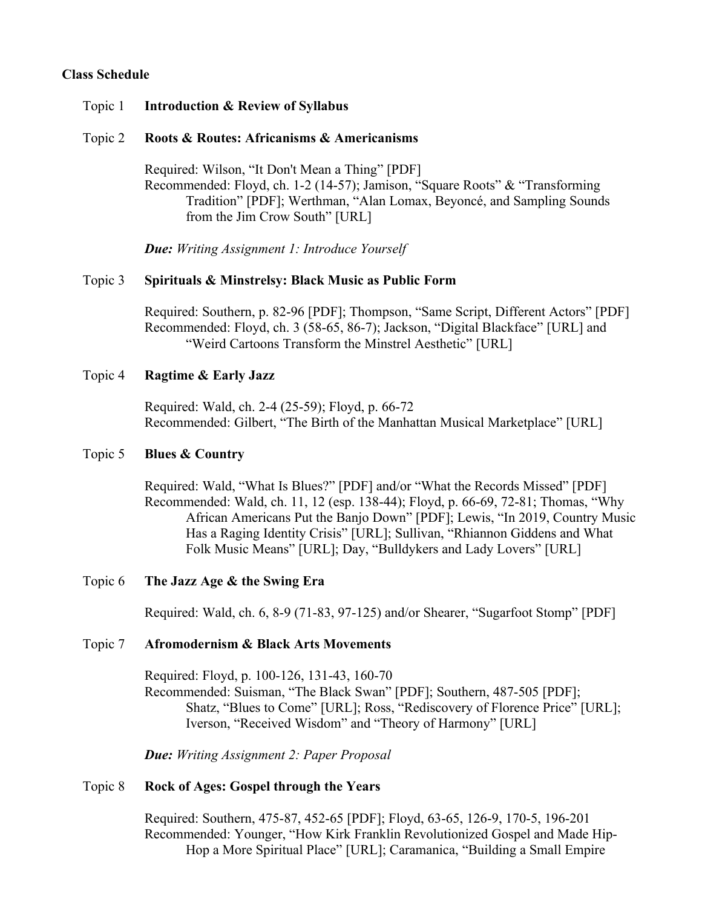## **Class Schedule**

#### Topic 1 **Introduction & Review of Syllabus**

#### Topic 2 **Roots & Routes: Africanisms & Americanisms**

Required: Wilson, "It Don't Mean a Thing" [PDF] Recommended: Floyd, ch. 1-2 (14-57); Jamison, "Square Roots" & "Transforming Tradition" [PDF]; Werthman, "Alan Lomax, Beyoncé, and Sampling Sounds from the Jim Crow South" [URL]

*Due: Writing Assignment 1: Introduce Yourself* 

#### Topic 3 **Spirituals & Minstrelsy: Black Music as Public Form**

Required: Southern, p. 82-96 [PDF]; Thompson, "Same Script, Different Actors" [PDF] Recommended: Floyd, ch. 3 (58-65, 86-7); Jackson, "Digital Blackface" [URL] and "Weird Cartoons Transform the Minstrel Aesthetic" [URL]

#### Topic 4 **Ragtime & Early Jazz**

Required: Wald, ch. 2-4 (25-59); Floyd, p. 66-72 Recommended: Gilbert, "The Birth of the Manhattan Musical Marketplace" [URL]

#### Topic 5 **Blues & Country**

Required: Wald, "What Is Blues?" [PDF] and/or "What the Records Missed" [PDF] Recommended: Wald, ch. 11, 12 (esp. 138-44); Floyd, p. 66-69, 72-81; Thomas, "Why African Americans Put the Banjo Down" [PDF]; Lewis, "In 2019, Country Music Has a Raging Identity Crisis" [URL]; Sullivan, "Rhiannon Giddens and What Folk Music Means" [URL]; Day, "Bulldykers and Lady Lovers" [URL]

#### Topic 6 **The Jazz Age & the Swing Era**

Required: Wald, ch. 6, 8-9 (71-83, 97-125) and/or Shearer, "Sugarfoot Stomp" [PDF]

#### Topic 7 **Afromodernism & Black Arts Movements**

Required: Floyd, p. 100-126, 131-43, 160-70 Recommended: Suisman, "The Black Swan" [PDF]; Southern, 487-505 [PDF]; Shatz, "Blues to Come" [URL]; Ross, "Rediscovery of Florence Price" [URL]; Iverson, "Received Wisdom" and "Theory of Harmony" [URL]

*Due: Writing Assignment 2: Paper Proposal*

#### Topic 8 **Rock of Ages: Gospel through the Years**

Required: Southern, 475-87, 452-65 [PDF]; Floyd, 63-65, 126-9, 170-5, 196-201 Recommended: Younger, "How Kirk Franklin Revolutionized Gospel and Made Hip-Hop a More Spiritual Place" [URL]; Caramanica, "Building a Small Empire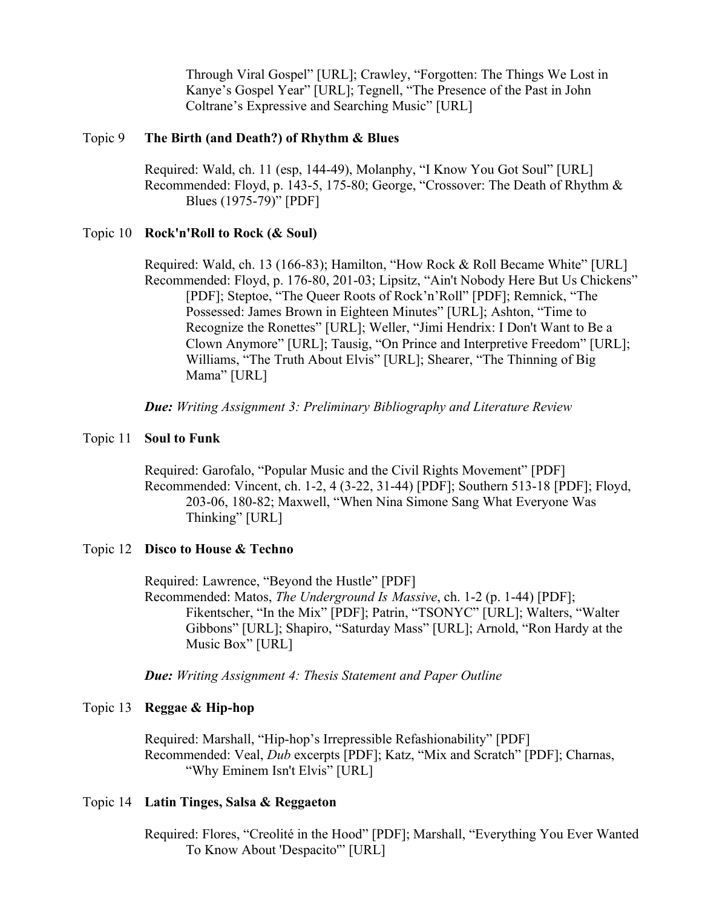Through Viral Gospel" [URL]; Crawley, "Forgotten: The Things We Lost in Kanye's Gospel Year" [URL]; Tegnell, "The Presence of the Past in John Coltrane's Expressive and Searching Music" [URL]

#### Topic 9 **The Birth (and Death?) of Rhythm & Blues**

Required: Wald, ch. 11 (esp, 144-49), Molanphy, "I Know You Got Soul" [URL] Recommended: Floyd, p. 143-5, 175-80; George, "Crossover: The Death of Rhythm & Blues (1975-79)" [PDF]

#### Topic 10 **Rock'n'Roll to Rock (& Soul)**

Required: Wald, ch. 13 (166-83); Hamilton, "How Rock & Roll Became White" [URL] Recommended: Floyd, p. 176-80, 201-03; Lipsitz, "Ain't Nobody Here But Us Chickens" [PDF]; Steptoe, "The Queer Roots of Rock'n'Roll" [PDF]; Remnick, "The Possessed: James Brown in Eighteen Minutes" [URL]; Ashton, "Time to Recognize the Ronettes" [URL]; Weller, "Jimi Hendrix: I Don't Want to Be a Clown Anymore" [URL]; Tausig, "On Prince and Interpretive Freedom" [URL]; Williams, "The Truth About Elvis" [URL]; Shearer, "The Thinning of Big Mama" [URL]

*Due: Writing Assignment 3: Preliminary Bibliography and Literature Review*

#### Topic 11 **Soul to Funk**

Required: Garofalo, "Popular Music and the Civil Rights Movement" [PDF] Recommended: Vincent, ch. 1-2, 4 (3-22, 31-44) [PDF]; Southern 513-18 [PDF]; Floyd, 203-06, 180-82; Maxwell, "When Nina Simone Sang What Everyone Was Thinking" [URL]

#### Topic 12 **Disco to House & Techno**

Required: Lawrence, "Beyond the Hustle" [PDF] Recommended: Matos, *The Underground Is Massive*, ch. 1-2 (p. 1-44) [PDF]; Fikentscher, "In the Mix" [PDF]; Patrin, "TSONYC" [URL]; Walters, "Walter Gibbons" [URL]; Shapiro, "Saturday Mass" [URL]; Arnold, "Ron Hardy at the Music Box" [URL]

*Due: Writing Assignment 4: Thesis Statement and Paper Outline*

#### Topic 13 **Reggae & Hip-hop**

Required: Marshall, "Hip-hop's Irrepressible Refashionability" [PDF] Recommended: Veal, *Dub* excerpts [PDF]; Katz, "Mix and Scratch" [PDF]; Charnas, "Why Eminem Isn't Elvis" [URL]

#### Topic 14 **Latin Tinges, Salsa & Reggaeton**

Required: Flores, "Creolité in the Hood" [PDF]; Marshall, "Everything You Ever Wanted To Know About 'Despacito'" [URL]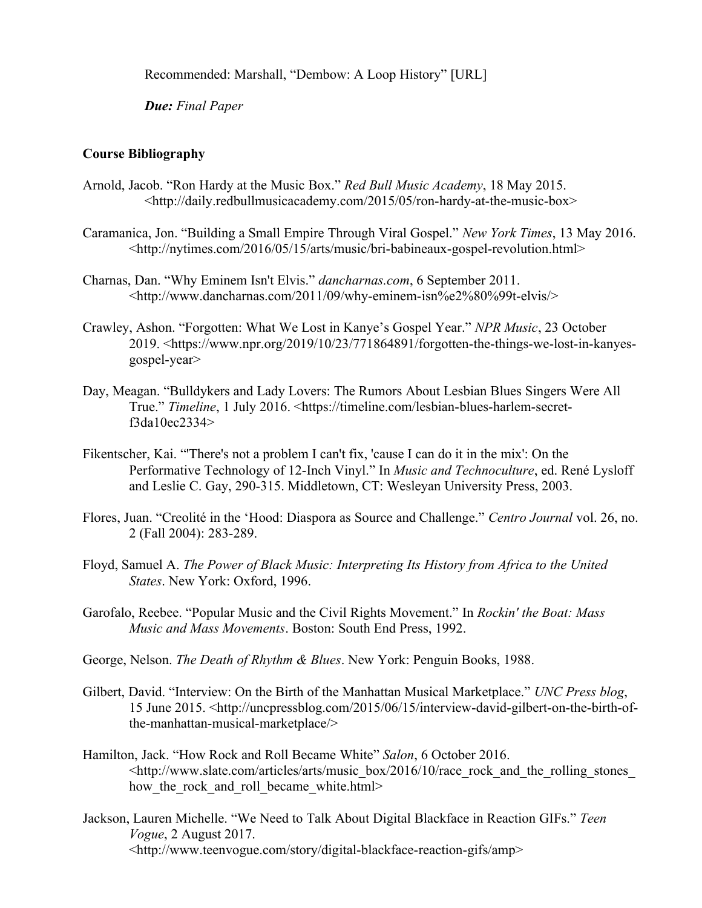Recommended: Marshall, "Dembow: A Loop History" [URL]

*Due: Final Paper*

## **Course Bibliography**

- Arnold, Jacob. "Ron Hardy at the Music Box." *Red Bull Music Academy*, 18 May 2015. <http://daily.redbullmusicacademy.com/2015/05/ron-hardy-at-the-music-box>
- Caramanica, Jon. "Building a Small Empire Through Viral Gospel." *New York Times*, 13 May 2016. <http://nytimes.com/2016/05/15/arts/music/bri-babineaux-gospel-revolution.html>
- Charnas, Dan. "Why Eminem Isn't Elvis." *dancharnas.com*, 6 September 2011. <http://www.dancharnas.com/2011/09/why-eminem-isn%e2%80%99t-elvis/>
- Crawley, Ashon. "Forgotten: What We Lost in Kanye's Gospel Year." *NPR Music*, 23 October 2019. <https://www.npr.org/2019/10/23/771864891/forgotten-the-things-we-lost-in-kanyesgospel-year>
- Day, Meagan. "Bulldykers and Lady Lovers: The Rumors About Lesbian Blues Singers Were All True." *Timeline*, 1 July 2016. <https://timeline.com/lesbian-blues-harlem-secretf3da10ec2334>
- Fikentscher, Kai. "'There's not a problem I can't fix, 'cause I can do it in the mix': On the Performative Technology of 12-Inch Vinyl." In *Music and Technoculture*, ed. René Lysloff and Leslie C. Gay, 290-315. Middletown, CT: Wesleyan University Press, 2003.
- Flores, Juan. "Creolité in the 'Hood: Diaspora as Source and Challenge." *Centro Journal* vol. 26, no. 2 (Fall 2004): 283-289.
- Floyd, Samuel A. *The Power of Black Music: Interpreting Its History from Africa to the United States*. New York: Oxford, 1996.
- Garofalo, Reebee. "Popular Music and the Civil Rights Movement." In *Rockin' the Boat: Mass Music and Mass Movements*. Boston: South End Press, 1992.
- George, Nelson. *The Death of Rhythm & Blues*. New York: Penguin Books, 1988.
- Gilbert, David. "Interview: On the Birth of the Manhattan Musical Marketplace." *UNC Press blog*, 15 June 2015. <http://uncpressblog.com/2015/06/15/interview-david-gilbert-on-the-birth-ofthe-manhattan-musical-marketplace/>
- Hamilton, Jack. "How Rock and Roll Became White" *Salon*, 6 October 2016. <http://www.slate.com/articles/arts/music\_box/2016/10/race\_rock\_and\_the\_rolling\_stones\_ how the rock and roll became white.html>
- Jackson, Lauren Michelle. "We Need to Talk About Digital Blackface in Reaction GIFs." *Teen Vogue*, 2 August 2017. <http://www.teenvogue.com/story/digital-blackface-reaction-gifs/amp>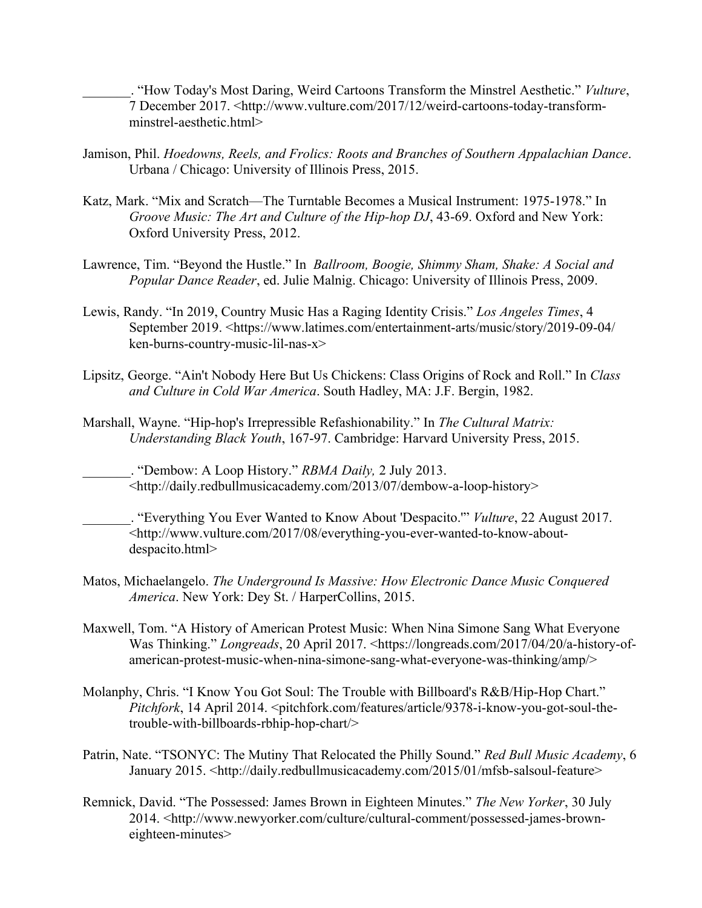\_\_\_\_\_\_\_. "How Today's Most Daring, Weird Cartoons Transform the Minstrel Aesthetic." *Vulture*, 7 December 2017. <http://www.vulture.com/2017/12/weird-cartoons-today-transformminstrel-aesthetic.html>

- Jamison, Phil. *Hoedowns, Reels, and Frolics: Roots and Branches of Southern Appalachian Dance*. Urbana / Chicago: University of Illinois Press, 2015.
- Katz, Mark. "Mix and Scratch—The Turntable Becomes a Musical Instrument: 1975-1978." In *Groove Music: The Art and Culture of the Hip-hop DJ*, 43-69. Oxford and New York: Oxford University Press, 2012.
- Lawrence, Tim. "Beyond the Hustle." In *Ballroom, Boogie, Shimmy Sham, Shake: A Social and Popular Dance Reader*, ed. Julie Malnig. Chicago: University of Illinois Press, 2009.
- Lewis, Randy. "In 2019, Country Music Has a Raging Identity Crisis." *Los Angeles Times*, 4 September 2019. <https://www.latimes.com/entertainment-arts/music/story/2019-09-04/ ken-burns-country-music-lil-nas-x>
- Lipsitz, George. "Ain't Nobody Here But Us Chickens: Class Origins of Rock and Roll." In *Class and Culture in Cold War America*. South Hadley, MA: J.F. Bergin, 1982.
- Marshall, Wayne. "Hip-hop's Irrepressible Refashionability." In *The Cultural Matrix: Understanding Black Youth*, 167-97. Cambridge: Harvard University Press, 2015.

\_\_\_\_\_\_\_. "Dembow: A Loop History." *RBMA Daily,* 2 July 2013. <http://daily.redbullmusicacademy.com/2013/07/dembow-a-loop-history>

\_\_\_\_\_\_\_. "Everything You Ever Wanted to Know About 'Despacito.'" *Vulture*, 22 August 2017. <http://www.vulture.com/2017/08/everything-you-ever-wanted-to-know-aboutdespacito.html>

- Matos, Michaelangelo. *The Underground Is Massive: How Electronic Dance Music Conquered America*. New York: Dey St. / HarperCollins, 2015.
- Maxwell, Tom. "A History of American Protest Music: When Nina Simone Sang What Everyone Was Thinking." *Longreads*, 20 April 2017. <https://longreads.com/2017/04/20/a-history-ofamerican-protest-music-when-nina-simone-sang-what-everyone-was-thinking/amp/>
- Molanphy, Chris. "I Know You Got Soul: The Trouble with Billboard's R&B/Hip-Hop Chart." *Pitchfork*, 14 April 2014. <pitchfork.com/features/article/9378-i-know-you-got-soul-thetrouble-with-billboards-rbhip-hop-chart/>
- Patrin, Nate. "TSONYC: The Mutiny That Relocated the Philly Sound." *Red Bull Music Academy*, 6 January 2015. <http://daily.redbullmusicacademy.com/2015/01/mfsb-salsoul-feature>
- Remnick, David. "The Possessed: James Brown in Eighteen Minutes." *The New Yorker*, 30 July 2014. <http://www.newyorker.com/culture/cultural-comment/possessed-james-browneighteen-minutes>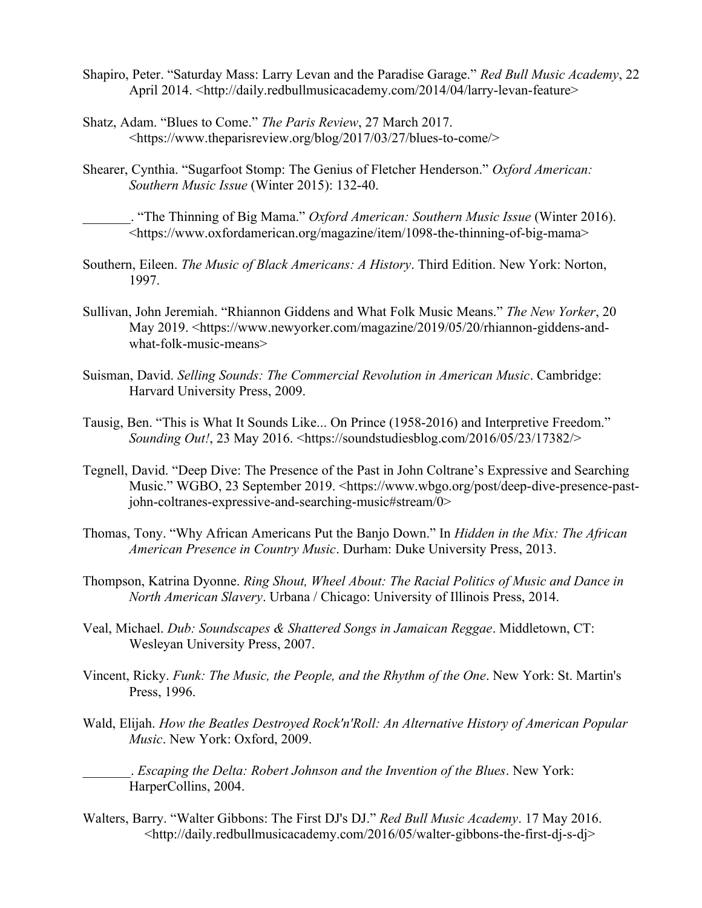- Shapiro, Peter. "Saturday Mass: Larry Levan and the Paradise Garage." *Red Bull Music Academy*, 22 April 2014. <http://daily.redbullmusicacademy.com/2014/04/larry-levan-feature>
- Shatz, Adam. "Blues to Come." *The Paris Review*, 27 March 2017. <https://www.theparisreview.org/blog/2017/03/27/blues-to-come/>
- Shearer, Cynthia. "Sugarfoot Stomp: The Genius of Fletcher Henderson." *Oxford American: Southern Music Issue* (Winter 2015): 132-40.

\_\_\_\_\_\_\_. "The Thinning of Big Mama." *Oxford American: Southern Music Issue* (Winter 2016). <https://www.oxfordamerican.org/magazine/item/1098-the-thinning-of-big-mama>

- Southern, Eileen. *The Music of Black Americans: A History*. Third Edition. New York: Norton, 1997.
- Sullivan, John Jeremiah. "Rhiannon Giddens and What Folk Music Means." *The New Yorker*, 20 May 2019. <https://www.newyorker.com/magazine/2019/05/20/rhiannon-giddens-andwhat-folk-music-means>
- Suisman, David. *Selling Sounds: The Commercial Revolution in American Music*. Cambridge: Harvard University Press, 2009.
- Tausig, Ben. "This is What It Sounds Like... On Prince (1958-2016) and Interpretive Freedom." *Sounding Out!*, 23 May 2016. <https://soundstudiesblog.com/2016/05/23/17382/>
- Tegnell, David. "Deep Dive: The Presence of the Past in John Coltrane's Expressive and Searching Music." WGBO, 23 September 2019. <https://www.wbgo.org/post/deep-dive-presence-pastjohn-coltranes-expressive-and-searching-music#stream/0>
- Thomas, Tony. "Why African Americans Put the Banjo Down." In *Hidden in the Mix: The African American Presence in Country Music*. Durham: Duke University Press, 2013.
- Thompson, Katrina Dyonne. *Ring Shout, Wheel About: The Racial Politics of Music and Dance in North American Slavery*. Urbana / Chicago: University of Illinois Press, 2014.
- Veal, Michael. *Dub: Soundscapes & Shattered Songs in Jamaican Reggae*. Middletown, CT: Wesleyan University Press, 2007.
- Vincent, Ricky. *Funk: The Music, the People, and the Rhythm of the One*. New York: St. Martin's Press, 1996.
- Wald, Elijah. *How the Beatles Destroyed Rock'n'Roll: An Alternative History of American Popular Music*. New York: Oxford, 2009.

\_\_\_\_\_\_\_. *Escaping the Delta: Robert Johnson and the Invention of the Blues*. New York: HarperCollins, 2004.

Walters, Barry. "Walter Gibbons: The First DJ's DJ." *Red Bull Music Academy*. 17 May 2016. <http://daily.redbullmusicacademy.com/2016/05/walter-gibbons-the-first-dj-s-dj>